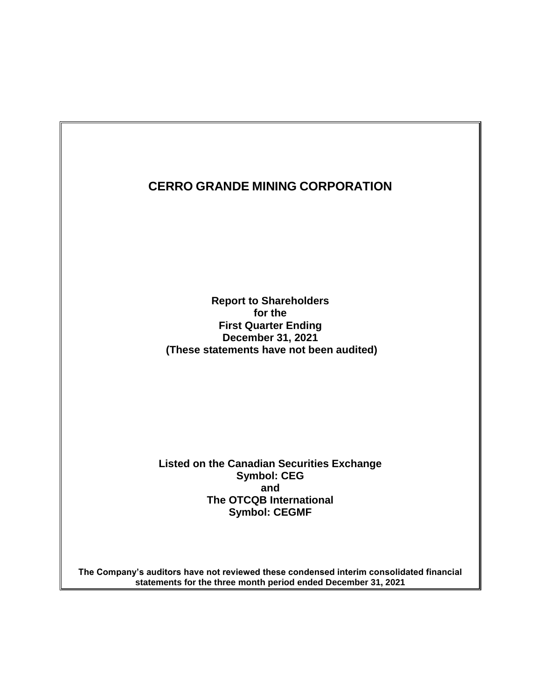**Report to Shareholders for the First Quarter Ending December 31, 2021 (These statements have not been audited)**

**Listed on the Canadian Securities Exchange Symbol: CEG and The OTCQB International Symbol: CEGMF**

**The Company's auditors have not reviewed these condensed interim consolidated financial statements for the three month period ended December 31, 2021**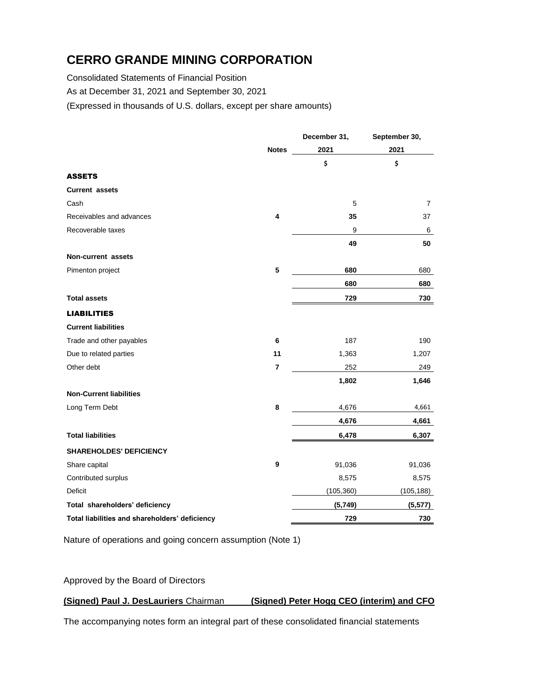Consolidated Statements of Financial Position

As at December 31, 2021 and September 30, 2021

(Expressed in thousands of U.S. dollars, except per share amounts)

|                                                |                | December 31, | September 30,  |
|------------------------------------------------|----------------|--------------|----------------|
|                                                | <b>Notes</b>   | 2021         | 2021           |
|                                                |                | \$           | \$             |
| <b>ASSETS</b>                                  |                |              |                |
| <b>Current assets</b>                          |                |              |                |
| Cash                                           |                | 5            | $\overline{7}$ |
| Receivables and advances                       | 4              | 35           | 37             |
| Recoverable taxes                              |                | 9            | 6              |
|                                                |                | 49           | 50             |
| Non-current assets                             |                |              |                |
| Pimenton project                               | 5              | 680          | 680            |
|                                                |                | 680          | 680            |
| <b>Total assets</b>                            |                | 729          | 730            |
| <b>LIABILITIES</b>                             |                |              |                |
| <b>Current liabilities</b>                     |                |              |                |
| Trade and other payables                       | 6              | 187          | 190            |
| Due to related parties                         | 11             | 1,363        | 1,207          |
| Other debt                                     | $\overline{7}$ | 252          | 249            |
|                                                |                | 1,802        | 1,646          |
| <b>Non-Current liabilities</b>                 |                |              |                |
| Long Term Debt                                 | 8              | 4,676        | 4,661          |
|                                                |                | 4,676        | 4,661          |
| <b>Total liabilities</b>                       |                | 6,478        | 6,307          |
| <b>SHAREHOLDES' DEFICIENCY</b>                 |                |              |                |
| Share capital                                  | 9              | 91,036       | 91,036         |
| Contributed surplus                            |                | 8,575        | 8,575          |
| Deficit                                        |                | (105, 360)   | (105, 188)     |
| Total shareholders' deficiency                 |                | (5,749)      | (5, 577)       |
| Total liabilities and shareholders' deficiency |                | 729          | 730            |

Nature of operations and going concern assumption (Note 1)

Approved by the Board of Directors

## **(Signed) Paul J. DesLauriers** Chairman **(Signed) Peter Hogg CEO (interim) and CFO**

The accompanying notes form an integral part of these consolidated financial statements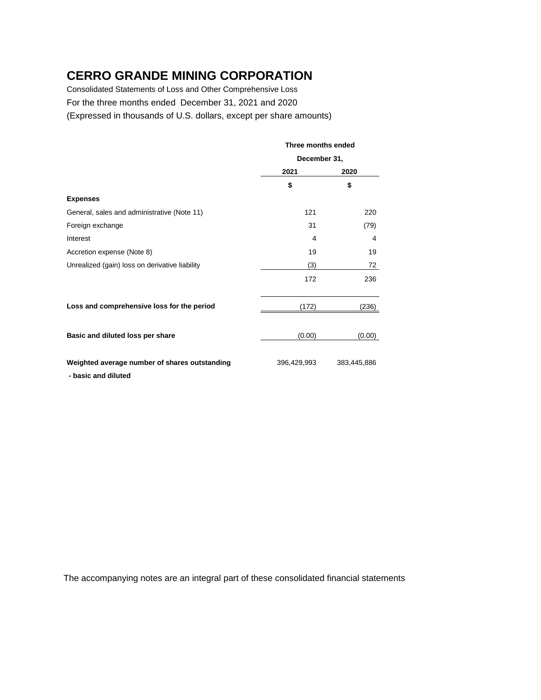Consolidated Statements of Loss and Other Comprehensive Loss For the three months ended December 31, 2021 and 2020 (Expressed in thousands of U.S. dollars, except per share amounts)

|                                                                      | Three months ended |             |  |
|----------------------------------------------------------------------|--------------------|-------------|--|
|                                                                      | December 31,       |             |  |
|                                                                      | 2021               | 2020        |  |
|                                                                      | \$                 | \$          |  |
| <b>Expenses</b>                                                      |                    |             |  |
| General, sales and administrative (Note 11)                          | 121                | 220         |  |
| Foreign exchange                                                     | 31                 | (79)        |  |
| Interest                                                             | 4                  | 4           |  |
| Accretion expense (Note 8)                                           | 19                 | 19          |  |
| Unrealized (gain) loss on derivative liability                       | (3)                | 72          |  |
|                                                                      | 172                | 236         |  |
| Loss and comprehensive loss for the period                           | (172)              | (236)       |  |
| Basic and diluted loss per share                                     | (0.00)             | (0.00)      |  |
| Weighted average number of shares outstanding<br>- basic and diluted | 396,429,993        | 383,445,886 |  |

The accompanying notes are an integral part of these consolidated financial statements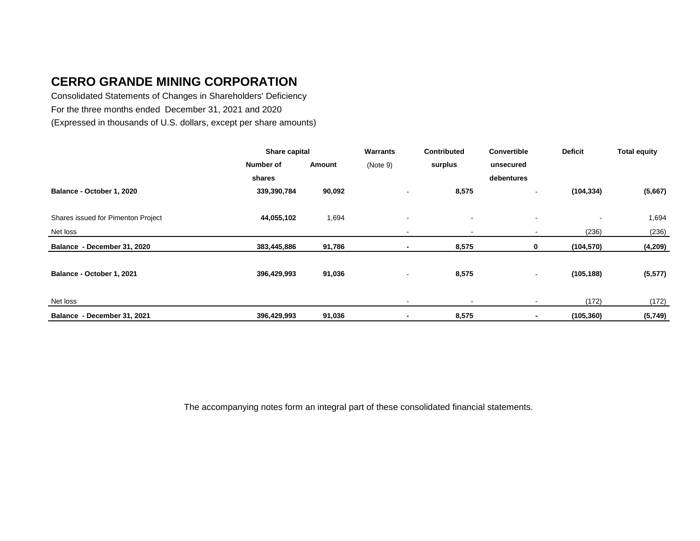Consolidated Statements of Changes in Shareholders' Deficiency For the three months ended December 31, 2021 and 2020 (Expressed in thousands of U.S. dollars, except per share amounts)

|                                    | Share capital |        | <b>Warrants</b>          | <b>Contributed</b>       | Convertible    | <b>Deficit</b> | <b>Total equity</b> |
|------------------------------------|---------------|--------|--------------------------|--------------------------|----------------|----------------|---------------------|
|                                    | Number of     | Amount | (Note 9)                 | surplus                  | unsecured      |                |                     |
|                                    | shares        |        |                          |                          | debentures     |                |                     |
| Balance - October 1, 2020          | 339,390,784   | 90,092 |                          | 8,575                    | $\sim$         | (104, 334)     | (5,667)             |
|                                    |               |        |                          |                          |                |                |                     |
| Shares issued for Pimenton Project | 44,055,102    | 1,694  | $\overline{\phantom{a}}$ |                          | $\sim$         |                | 1,694               |
| Net loss                           |               |        | $\sim$                   | $\overline{\phantom{a}}$ | $\blacksquare$ | (236)          | (236)               |
| Balance - December 31, 2020        | 383,445,886   | 91,786 | $\blacksquare$           | 8,575                    | $\mathbf 0$    | (104, 570)     | (4,209)             |
|                                    |               |        |                          |                          |                |                |                     |
| Balance - October 1, 2021          | 396,429,993   | 91,036 | $\sim$                   | 8,575                    | $\sim$         | (105, 188)     | (5, 577)            |
|                                    |               |        |                          |                          |                |                |                     |
| Net loss                           |               |        |                          |                          |                | (172)          | (172)               |
| Balance - December 31, 2021        | 396,429,993   | 91,036 | $\blacksquare$           | 8,575                    |                | (105, 360)     | (5,749)             |

The accompanying notes form an integral part of these consolidated financial statements.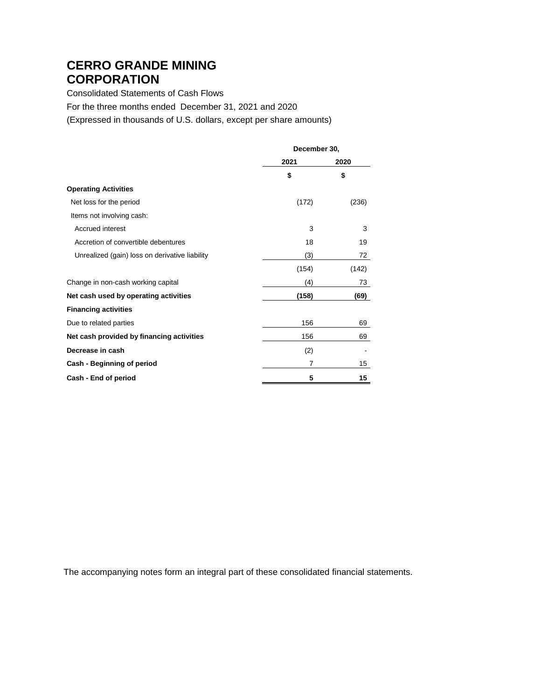Consolidated Statements of Cash Flows For the three months ended December 31, 2021 and 2020 (Expressed in thousands of U.S. dollars, except per share amounts)

|                                                | December 30, |       |
|------------------------------------------------|--------------|-------|
|                                                | 2021         | 2020  |
|                                                | \$           | \$    |
| <b>Operating Activities</b>                    |              |       |
| Net loss for the period                        | (172)        | (236) |
| Items not involving cash:                      |              |       |
| <b>Accrued interest</b>                        | 3            | 3     |
| Accretion of convertible debentures            | 18           | 19    |
| Unrealized (gain) loss on derivative liability | (3)          | 72    |
|                                                | (154)        | (142) |
| Change in non-cash working capital             | (4)          | 73    |
| Net cash used by operating activities          | (158)        | (69)  |
| <b>Financing activities</b>                    |              |       |
| Due to related parties                         | 156          | 69    |
| Net cash provided by financing activities      | 156          | 69    |
| Decrease in cash                               | (2)          |       |
| Cash - Beginning of period                     | 7            | 15    |
| Cash - End of period                           | 5            | 15    |

The accompanying notes form an integral part of these consolidated financial statements.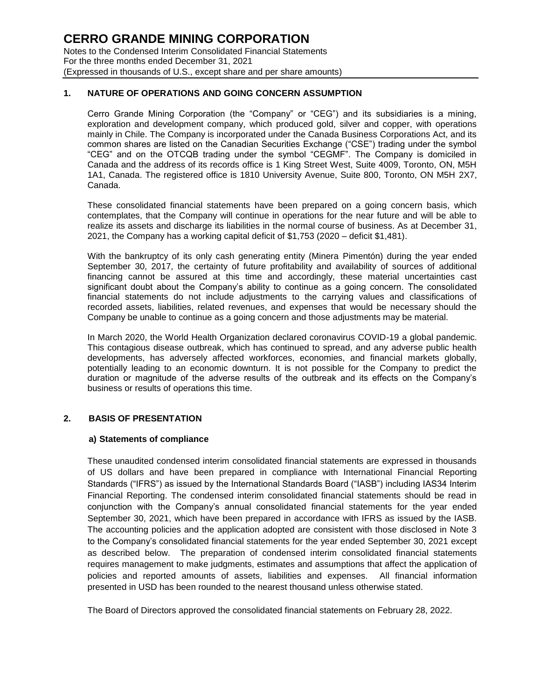## **1. NATURE OF OPERATIONS AND GOING CONCERN ASSUMPTION**

Cerro Grande Mining Corporation (the "Company" or "CEG") and its subsidiaries is a mining, exploration and development company, which produced gold, silver and copper, with operations mainly in Chile. The Company is incorporated under the Canada Business Corporations Act, and its common shares are listed on the Canadian Securities Exchange ("CSE") trading under the symbol "CEG" and on the OTCQB trading under the symbol "CEGMF". The Company is domiciled in Canada and the address of its records office is 1 King Street West, Suite 4009, Toronto, ON, M5H 1A1, Canada. The registered office is 1810 University Avenue, Suite 800, Toronto, ON M5H 2X7, Canada.

These consolidated financial statements have been prepared on a going concern basis, which contemplates, that the Company will continue in operations for the near future and will be able to realize its assets and discharge its liabilities in the normal course of business. As at December 31, 2021, the Company has a working capital deficit of \$1,753 (2020 – deficit \$1,481).

With the bankruptcy of its only cash generating entity (Minera Pimentón) during the year ended September 30, 2017, the certainty of future profitability and availability of sources of additional financing cannot be assured at this time and accordingly, these material uncertainties cast significant doubt about the Company's ability to continue as a going concern. The consolidated financial statements do not include adjustments to the carrying values and classifications of recorded assets, liabilities, related revenues, and expenses that would be necessary should the Company be unable to continue as a going concern and those adjustments may be material.

In March 2020, the World Health Organization declared coronavirus COVID-19 a global pandemic. This contagious disease outbreak, which has continued to spread, and any adverse public health developments, has adversely affected workforces, economies, and financial markets globally, potentially leading to an economic downturn. It is not possible for the Company to predict the duration or magnitude of the adverse results of the outbreak and its effects on the Company's business or results of operations this time.

## **2. BASIS OF PRESENTATION**

#### **a) Statements of compliance**

These unaudited condensed interim consolidated financial statements are expressed in thousands of US dollars and have been prepared in compliance with International Financial Reporting Standards ("IFRS") as issued by the International Standards Board ("IASB") including IAS34 Interim Financial Reporting. The condensed interim consolidated financial statements should be read in conjunction with the Company's annual consolidated financial statements for the year ended September 30, 2021, which have been prepared in accordance with IFRS as issued by the IASB. The accounting policies and the application adopted are consistent with those disclosed in Note 3 to the Company's consolidated financial statements for the year ended September 30, 2021 except as described below. The preparation of condensed interim consolidated financial statements requires management to make judgments, estimates and assumptions that affect the application of policies and reported amounts of assets, liabilities and expenses. All financial information presented in USD has been rounded to the nearest thousand unless otherwise stated.

The Board of Directors approved the consolidated financial statements on February 28, 2022.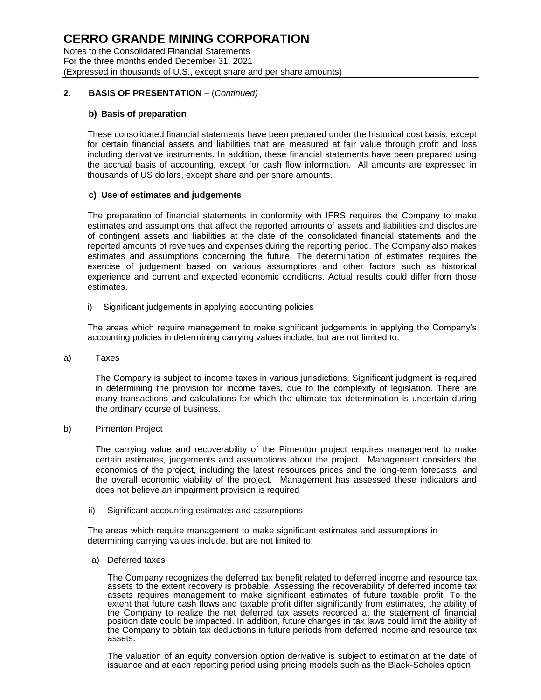Notes to the Consolidated Financial Statements For the three months ended December 31, 2021 (Expressed in thousands of U.S., except share and per share amounts)

## **2. BASIS OF PRESENTATION** – (*Continued)*

## **b) Basis of preparation**

These consolidated financial statements have been prepared under the historical cost basis, except for certain financial assets and liabilities that are measured at fair value through profit and loss including derivative instruments. In addition, these financial statements have been prepared using the accrual basis of accounting, except for cash flow information. All amounts are expressed in thousands of US dollars, except share and per share amounts.

## **c) Use of estimates and judgements**

The preparation of financial statements in conformity with IFRS requires the Company to make estimates and assumptions that affect the reported amounts of assets and liabilities and disclosure of contingent assets and liabilities at the date of the consolidated financial statements and the reported amounts of revenues and expenses during the reporting period. The Company also makes estimates and assumptions concerning the future. The determination of estimates requires the exercise of judgement based on various assumptions and other factors such as historical experience and current and expected economic conditions. Actual results could differ from those estimates.

i) Significant judgements in applying accounting policies

The areas which require management to make significant judgements in applying the Company's accounting policies in determining carrying values include, but are not limited to:

a) Taxes

The Company is subject to income taxes in various jurisdictions. Significant judgment is required in determining the provision for income taxes, due to the complexity of legislation. There are many transactions and calculations for which the ultimate tax determination is uncertain during the ordinary course of business.

b) Pimenton Project

The carrying value and recoverability of the Pimenton project requires management to make certain estimates, judgements and assumptions about the project. Management considers the economics of the project, including the latest resources prices and the long-term forecasts, and the overall economic viability of the project. Management has assessed these indicators and does not believe an impairment provision is required

ii) Significant accounting estimates and assumptions

The areas which require management to make significant estimates and assumptions in determining carrying values include, but are not limited to:

a) Deferred taxes

The Company recognizes the deferred tax benefit related to deferred income and resource tax assets to the extent recovery is probable. Assessing the recoverability of deferred income tax assets requires management to make significant estimates of future taxable profit. To the extent that future cash flows and taxable profit differ significantly from estimates, the ability of the Company to realize the net deferred tax assets recorded at the statement of financial position date could be impacted. In addition, future changes in tax laws could limit the ability of the Company to obtain tax deductions in future periods from deferred income and resource tax assets.

The valuation of an equity conversion option derivative is subject to estimation at the date of issuance and at each reporting period using pricing models such as the Black-Scholes option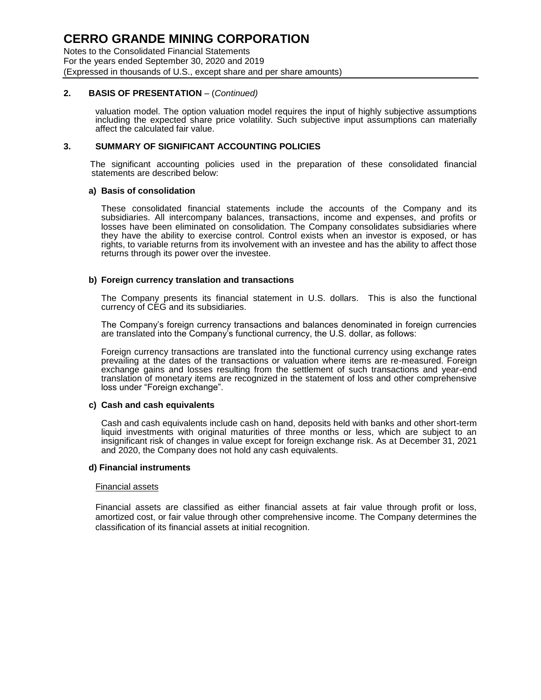Notes to the Consolidated Financial Statements For the years ended September 30, 2020 and 2019 (Expressed in thousands of U.S., except share and per share amounts)

## **2. BASIS OF PRESENTATION** – (*Continued)*

valuation model. The option valuation model requires the input of highly subjective assumptions including the expected share price volatility. Such subjective input assumptions can materially affect the calculated fair value.

## **3. SUMMARY OF SIGNIFICANT ACCOUNTING POLICIES**

The significant accounting policies used in the preparation of these consolidated financial statements are described below:

## **a) Basis of consolidation**

These consolidated financial statements include the accounts of the Company and its subsidiaries. All intercompany balances, transactions, income and expenses, and profits or losses have been eliminated on consolidation. The Company consolidates subsidiaries where they have the ability to exercise control. Control exists when an investor is exposed, or has rights, to variable returns from its involvement with an investee and has the ability to affect those returns through its power over the investee.

## **b) Foreign currency translation and transactions**

The Company presents its financial statement in U.S. dollars. This is also the functional currency of CEG and its subsidiaries.

The Company's foreign currency transactions and balances denominated in foreign currencies are translated into the Company's functional currency, the U.S. dollar, as follows:

Foreign currency transactions are translated into the functional currency using exchange rates prevailing at the dates of the transactions or valuation where items are re-measured. Foreign exchange gains and losses resulting from the settlement of such transactions and year-end translation of monetary items are recognized in the statement of loss and other comprehensive loss under "Foreign exchange".

## **c) Cash and cash equivalents**

Cash and cash equivalents include cash on hand, deposits held with banks and other short-term liquid investments with original maturities of three months or less, which are subject to an insignificant risk of changes in value except for foreign exchange risk. As at December 31, 2021 and 2020, the Company does not hold any cash equivalents.

#### **d) Financial instruments**

#### Financial assets

Financial assets are classified as either financial assets at fair value through profit or loss, amortized cost, or fair value through other comprehensive income. The Company determines the classification of its financial assets at initial recognition.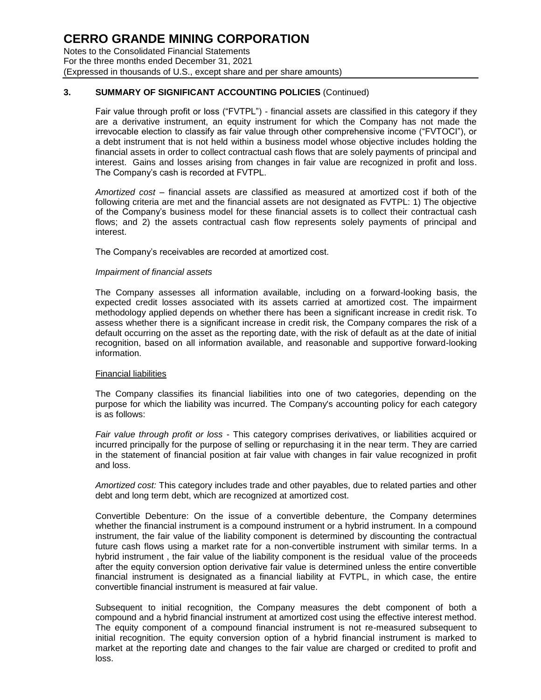Notes to the Consolidated Financial Statements For the three months ended December 31, 2021 (Expressed in thousands of U.S., except share and per share amounts)

## **3. SUMMARY OF SIGNIFICANT ACCOUNTING POLICIES** (Continued)

Fair value through profit or loss ("FVTPL") - financial assets are classified in this category if they are a derivative instrument, an equity instrument for which the Company has not made the irrevocable election to classify as fair value through other comprehensive income ("FVTOCI"), or a debt instrument that is not held within a business model whose objective includes holding the financial assets in order to collect contractual cash flows that are solely payments of principal and interest. Gains and losses arising from changes in fair value are recognized in profit and loss. The Company's cash is recorded at FVTPL.

*Amortized cost* – financial assets are classified as measured at amortized cost if both of the following criteria are met and the financial assets are not designated as FVTPL: 1) The objective of the Company's business model for these financial assets is to collect their contractual cash flows; and 2) the assets contractual cash flow represents solely payments of principal and interest.

The Company's receivables are recorded at amortized cost.

## *Impairment of financial assets*

The Company assesses all information available, including on a forward-looking basis, the expected credit losses associated with its assets carried at amortized cost. The impairment methodology applied depends on whether there has been a significant increase in credit risk. To assess whether there is a significant increase in credit risk, the Company compares the risk of a default occurring on the asset as the reporting date, with the risk of default as at the date of initial recognition, based on all information available, and reasonable and supportive forward-looking information.

## Financial liabilities

The Company classifies its financial liabilities into one of two categories, depending on the purpose for which the liability was incurred. The Company's accounting policy for each category is as follows:

*Fair value through profit or loss* - This category comprises derivatives, or liabilities acquired or incurred principally for the purpose of selling or repurchasing it in the near term. They are carried in the statement of financial position at fair value with changes in fair value recognized in profit and loss.

*Amortized cost:* This category includes trade and other payables, due to related parties and other debt and long term debt, which are recognized at amortized cost.

Convertible Debenture: On the issue of a convertible debenture, the Company determines whether the financial instrument is a compound instrument or a hybrid instrument. In a compound instrument, the fair value of the liability component is determined by discounting the contractual future cash flows using a market rate for a non-convertible instrument with similar terms. In a hybrid instrument , the fair value of the liability component is the residual value of the proceeds after the equity conversion option derivative fair value is determined unless the entire convertible financial instrument is designated as a financial liability at FVTPL, in which case, the entire convertible financial instrument is measured at fair value.

Subsequent to initial recognition, the Company measures the debt component of both a compound and a hybrid financial instrument at amortized cost using the effective interest method. The equity component of a compound financial instrument is not re-measured subsequent to initial recognition. The equity conversion option of a hybrid financial instrument is marked to market at the reporting date and changes to the fair value are charged or credited to profit and loss.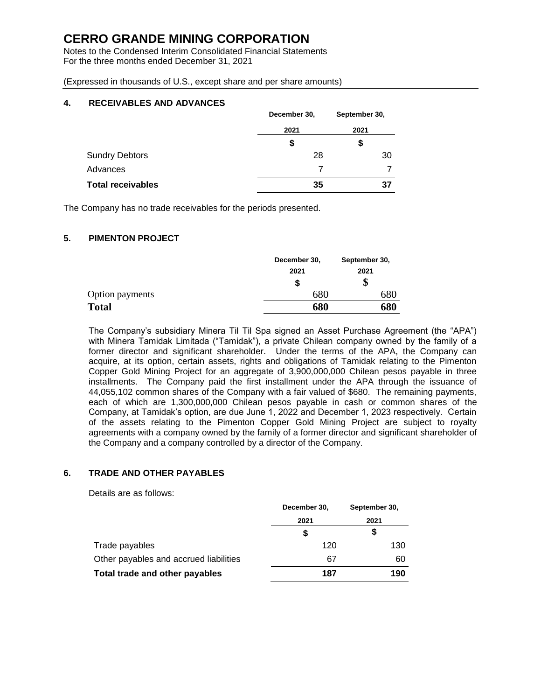Notes to the Condensed Interim Consolidated Financial Statements For the three months ended December 31, 2021

(Expressed in thousands of U.S., except share and per share amounts)

## **4. RECEIVABLES AND ADVANCES**

|                          | December 30, | September 30, |
|--------------------------|--------------|---------------|
|                          | 2021         | 2021          |
|                          | \$           | \$            |
| <b>Sundry Debtors</b>    | 28           | 30            |
| Advances                 |              |               |
| <b>Total receivables</b> | 35           | 37            |

The Company has no trade receivables for the periods presented.

## **5. PIMENTON PROJECT**

|                        | December 30, | September 30, |
|------------------------|--------------|---------------|
|                        | 2021         | 2021          |
|                        | S            | P             |
| <b>Option payments</b> | 680          | 68C           |
| <b>Total</b>           | 680          | 680           |

The Company's subsidiary Minera Til Til Spa signed an Asset Purchase Agreement (the "APA") with Minera Tamidak Limitada ("Tamidak"), a private Chilean company owned by the family of a former director and significant shareholder. Under the terms of the APA, the Company can acquire, at its option, certain assets, rights and obligations of Tamidak relating to the Pimenton Copper Gold Mining Project for an aggregate of 3,900,000,000 Chilean pesos payable in three installments. The Company paid the first installment under the APA through the issuance of 44,055,102 common shares of the Company with a fair valued of \$680. The remaining payments, each of which are 1,300,000,000 Chilean pesos payable in cash or common shares of the Company, at Tamidak's option, are due June 1, 2022 and December 1, 2023 respectively. Certain of the assets relating to the Pimenton Copper Gold Mining Project are subject to royalty agreements with a company owned by the family of a former director and significant shareholder of the Company and a company controlled by a director of the Company.

## **6. TRADE AND OTHER PAYABLES**

Details are as follows:

|                                        | December 30, | September 30, |  |
|----------------------------------------|--------------|---------------|--|
|                                        | 2021         | 2021          |  |
|                                        | S            | \$            |  |
| Trade payables                         | 120          | 130           |  |
| Other payables and accrued liabilities | 67           | 60            |  |
| Total trade and other payables         | 187          | 190           |  |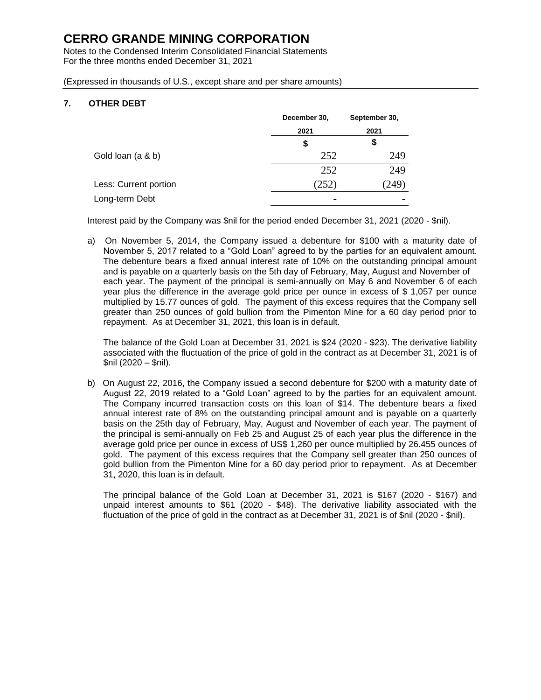Notes to the Condensed Interim Consolidated Financial Statements For the three months ended December 31, 2021

(Expressed in thousands of U.S., except share and per share amounts)

## **7. OTHER DEBT**

|                       | December 30,   | September 30, |  |
|-----------------------|----------------|---------------|--|
|                       | 2021           | 2021          |  |
|                       | \$             | \$            |  |
| Gold loan (a & b)     | 252            | 249           |  |
|                       | 252            | 249           |  |
| Less: Current portion | (252)          | 249           |  |
| Long-term Debt        | $\blacksquare$ |               |  |

Interest paid by the Company was \$nil for the period ended December 31, 2021 (2020 - \$nil).

a) On November 5, 2014, the Company issued a debenture for \$100 with a maturity date of November 5, 2017 related to a "Gold Loan" agreed to by the parties for an equivalent amount. The debenture bears a fixed annual interest rate of 10% on the outstanding principal amount and is payable on a quarterly basis on the 5th day of February, May, August and November of each year. The payment of the principal is semi-annually on May 6 and November 6 of each year plus the difference in the average gold price per ounce in excess of \$ 1,057 per ounce multiplied by 15.77 ounces of gold. The payment of this excess requires that the Company sell greater than 250 ounces of gold bullion from the Pimenton Mine for a 60 day period prior to repayment. As at December 31, 2021, this loan is in default.

The balance of the Gold Loan at December 31, 2021 is \$24 (2020 - \$23). The derivative liability associated with the fluctuation of the price of gold in the contract as at December 31, 2021 is of \$nil (2020 – \$nil).

b) On August 22, 2016, the Company issued a second debenture for \$200 with a maturity date of August 22, 2019 related to a "Gold Loan" agreed to by the parties for an equivalent amount. The Company incurred transaction costs on this loan of \$14. The debenture bears a fixed annual interest rate of 8% on the outstanding principal amount and is payable on a quarterly basis on the 25th day of February, May, August and November of each year. The payment of the principal is semi-annually on Feb 25 and August 25 of each year plus the difference in the average gold price per ounce in excess of US\$ 1,260 per ounce multiplied by 26.455 ounces of gold. The payment of this excess requires that the Company sell greater than 250 ounces of gold bullion from the Pimenton Mine for a 60 day period prior to repayment. As at December 31, 2020, this loan is in default.

The principal balance of the Gold Loan at December 31, 2021 is \$167 (2020 - \$167) and unpaid interest amounts to \$61 (2020 - \$48). The derivative liability associated with the fluctuation of the price of gold in the contract as at December 31, 2021 is of \$nil (2020 - \$nil).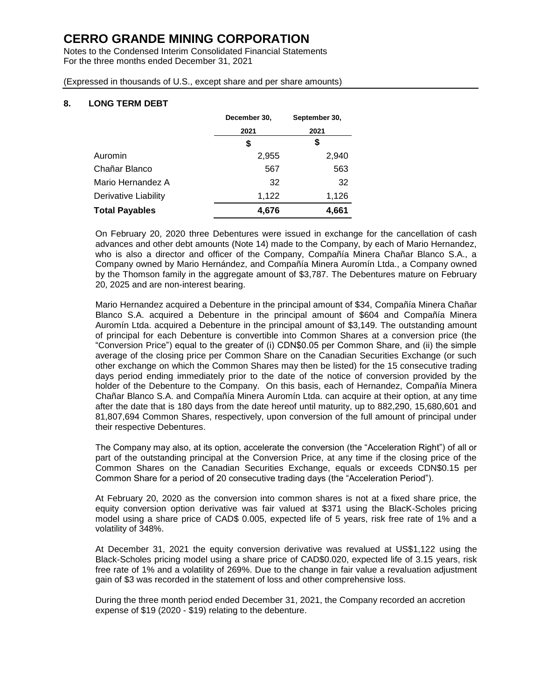Notes to the Condensed Interim Consolidated Financial Statements For the three months ended December 31, 2021

(Expressed in thousands of U.S., except share and per share amounts)

## **8. LONG TERM DEBT**

|                       | December 30, | September 30, |  |
|-----------------------|--------------|---------------|--|
|                       | 2021         | 2021          |  |
|                       | S            | \$            |  |
| Auromin               | 2,955        | 2,940         |  |
| Chañar Blanco         | 567          | 563           |  |
| Mario Hernandez A     | 32           | 32            |  |
| Derivative Liability  | 1,122        | 1,126         |  |
| <b>Total Payables</b> | 4,676        | 4,661         |  |

On February 20, 2020 three Debentures were issued in exchange for the cancellation of cash advances and other debt amounts (Note 14) made to the Company, by each of Mario Hernandez, who is also a director and officer of the Company, Compañía Minera Chañar Blanco S.A., a Company owned by Mario Hernández, and Compañía Minera Auromín Ltda., a Company owned by the Thomson family in the aggregate amount of \$3,787. The Debentures mature on February 20, 2025 and are non-interest bearing.

Mario Hernandez acquired a Debenture in the principal amount of \$34, Compañía Minera Chañar Blanco S.A. acquired a Debenture in the principal amount of \$604 and Compañía Minera Auromín Ltda. acquired a Debenture in the principal amount of \$3,149. The outstanding amount of principal for each Debenture is convertible into Common Shares at a conversion price (the "Conversion Price") equal to the greater of (i) CDN\$0.05 per Common Share, and (ii) the simple average of the closing price per Common Share on the Canadian Securities Exchange (or such other exchange on which the Common Shares may then be listed) for the 15 consecutive trading days period ending immediately prior to the date of the notice of conversion provided by the holder of the Debenture to the Company. On this basis, each of Hernandez, Compañía Minera Chañar Blanco S.A. and Compañía Minera Auromín Ltda. can acquire at their option, at any time after the date that is 180 days from the date hereof until maturity, up to 882,290, 15,680,601 and 81,807,694 Common Shares, respectively, upon conversion of the full amount of principal under their respective Debentures.

The Company may also, at its option, accelerate the conversion (the "Acceleration Right") of all or part of the outstanding principal at the Conversion Price, at any time if the closing price of the Common Shares on the Canadian Securities Exchange, equals or exceeds CDN\$0.15 per Common Share for a period of 20 consecutive trading days (the "Acceleration Period").

At February 20, 2020 as the conversion into common shares is not at a fixed share price, the equity conversion option derivative was fair valued at \$371 using the BlacK-Scholes pricing model using a share price of CAD\$ 0.005, expected life of 5 years, risk free rate of 1% and a volatility of 348%.

At December 31, 2021 the equity conversion derivative was revalued at US\$1,122 using the Black-Scholes pricing model using a share price of CAD\$0.020, expected life of 3.15 years, risk free rate of 1% and a volatility of 269%. Due to the change in fair value a revaluation adjustment gain of \$3 was recorded in the statement of loss and other comprehensive loss.

During the three month period ended December 31, 2021, the Company recorded an accretion expense of \$19 (2020 - \$19) relating to the debenture.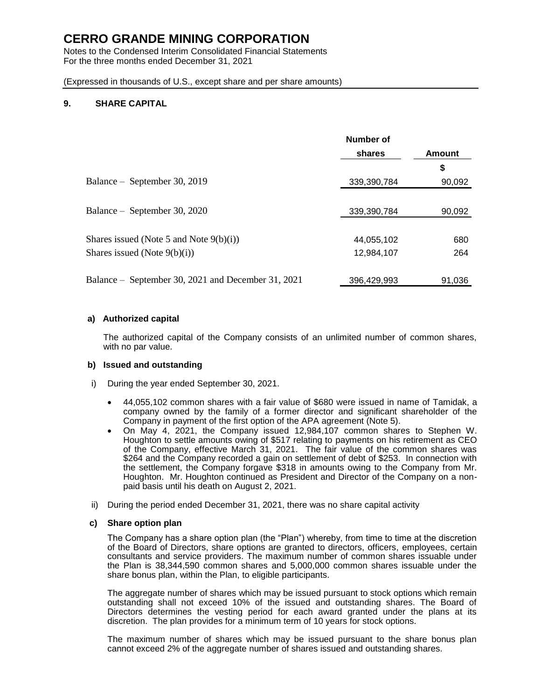Notes to the Condensed Interim Consolidated Financial Statements For the three months ended December 31, 2021

(Expressed in thousands of U.S., except share and per share amounts)

## **9. SHARE CAPITAL**

|                                                    | Number of   |        |
|----------------------------------------------------|-------------|--------|
|                                                    | shares      | Amount |
|                                                    |             | \$     |
| Balance - September 30, 2019                       | 339,390,784 | 90,092 |
|                                                    |             |        |
| Balance – September 30, 2020                       | 339,390,784 | 90,092 |
|                                                    |             |        |
| Shares issued (Note 5 and Note $9(b)(i)$ )         | 44,055,102  | 680    |
| Shares issued (Note $9(b)(i)$ )                    | 12,984,107  | 264    |
|                                                    |             |        |
| Balance – September 30, 2021 and December 31, 2021 | 396,429,993 | 91,036 |

## **a) Authorized capital**

The authorized capital of the Company consists of an unlimited number of common shares, with no par value.

## **b) Issued and outstanding**

- i) During the year ended September 30, 2021.
	- 44,055,102 common shares with a fair value of \$680 were issued in name of Tamidak, a company owned by the family of a former director and significant shareholder of the Company in payment of the first option of the APA agreement (Note 5).
	- On May 4, 2021, the Company issued 12,984,107 common shares to Stephen W. Houghton to settle amounts owing of \$517 relating to payments on his retirement as CEO of the Company, effective March 31, 2021. The fair value of the common shares was \$264 and the Company recorded a gain on settlement of debt of \$253. In connection with the settlement, the Company forgave \$318 in amounts owing to the Company from Mr. Houghton. Mr. Houghton continued as President and Director of the Company on a nonpaid basis until his death on August 2, 2021.
- ii) During the period ended December 31, 2021, there was no share capital activity

## **c) Share option plan**

The Company has a share option plan (the "Plan") whereby, from time to time at the discretion of the Board of Directors, share options are granted to directors, officers, employees, certain consultants and service providers. The maximum number of common shares issuable under the Plan is 38,344,590 common shares and 5,000,000 common shares issuable under the share bonus plan, within the Plan, to eligible participants.

The aggregate number of shares which may be issued pursuant to stock options which remain outstanding shall not exceed 10% of the issued and outstanding shares. The Board of Directors determines the vesting period for each award granted under the plans at its discretion. The plan provides for a minimum term of 10 years for stock options.

The maximum number of shares which may be issued pursuant to the share bonus plan cannot exceed 2% of the aggregate number of shares issued and outstanding shares.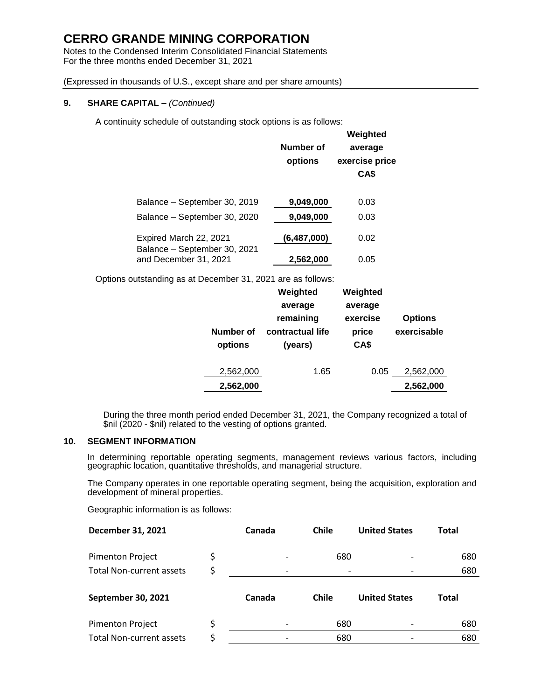Notes to the Condensed Interim Consolidated Financial Statements For the three months ended December 31, 2021

(Expressed in thousands of U.S., except share and per share amounts)

## **9. SHARE CAPITAL –** *(Continued)*

A continuity schedule of outstanding stock options is as follows:

|                                                        | Number of<br>options | Weighted<br>average<br>exercise price<br>CA\$ |
|--------------------------------------------------------|----------------------|-----------------------------------------------|
| Balance - September 30, 2019                           | 9,049,000            | 0.03                                          |
| Balance - September 30, 2020                           | 9,049,000            | 0.03                                          |
| Expired March 22, 2021<br>Balance - September 30, 2021 | (6,487,000)          | 0.02                                          |
| and December 31, 2021                                  | 2,562,000            | 0.05                                          |

Options outstanding as at December 31, 2021 are as follows:

| Number of<br>options | Weighted<br>average<br>remaining<br>contractual life<br>(years) | Weighted<br>average<br>exercise<br>price<br>CA\$ | <b>Options</b><br>exercisable |
|----------------------|-----------------------------------------------------------------|--------------------------------------------------|-------------------------------|
| 2,562,000            | 1.65                                                            | 0.05                                             | 2,562,000                     |
| 2,562,000            |                                                                 |                                                  | 2,562,000                     |

During the three month period ended December 31, 2021, the Company recognized a total of \$nil (2020 - \$nil) related to the vesting of options granted.

## **10. SEGMENT INFORMATION**

In determining reportable operating segments, management reviews various factors, including geographic location, quantitative thresholds, and managerial structure.

The Company operates in one reportable operating segment, being the acquisition, exploration and development of mineral properties.

Geographic information is as follows:

| December 31, 2021               | Canada | <b>Chile</b> | <b>United States</b> | <b>Total</b> |
|---------------------------------|--------|--------------|----------------------|--------------|
| <b>Pimenton Project</b>         |        | 680          |                      | 680          |
| <b>Total Non-current assets</b> |        |              |                      | 680          |
| September 30, 2021              | Canada | <b>Chile</b> | <b>United States</b> | Total        |
| <b>Pimenton Project</b>         |        | 680          |                      | 680          |
| <b>Total Non-current assets</b> |        | 680          |                      | 680          |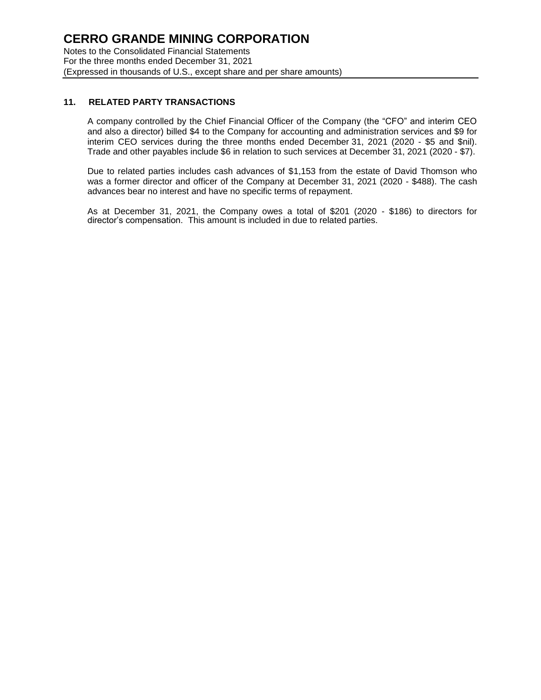## **11. RELATED PARTY TRANSACTIONS**

A company controlled by the Chief Financial Officer of the Company (the "CFO" and interim CEO and also a director) billed \$4 to the Company for accounting and administration services and \$9 for interim CEO services during the three months ended December 31, 2021 (2020 - \$5 and \$nil). Trade and other payables include \$6 in relation to such services at December 31, 2021 (2020 - \$7).

Due to related parties includes cash advances of \$1,153 from the estate of David Thomson who was a former director and officer of the Company at December 31, 2021 (2020 - \$488). The cash advances bear no interest and have no specific terms of repayment.

As at December 31, 2021, the Company owes a total of \$201 (2020 - \$186) to directors for director's compensation. This amount is included in due to related parties.